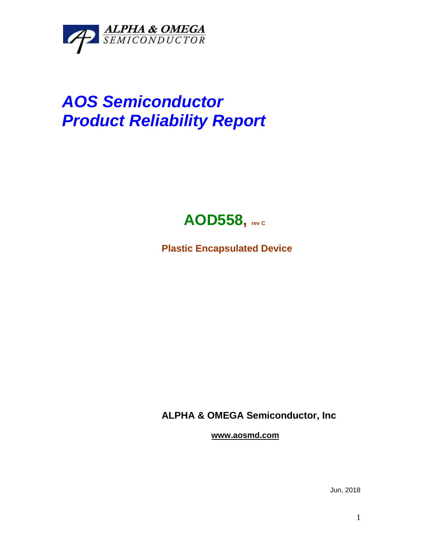

## *AOS Semiconductor Product Reliability Report*



**Plastic Encapsulated Device**

**ALPHA & OMEGA Semiconductor, Inc**

**www.aosmd.com**

Jun, 2018